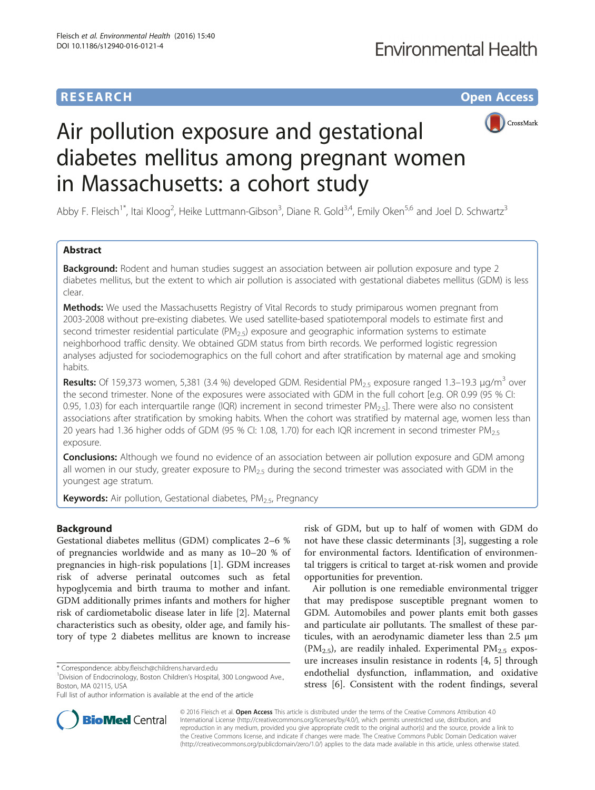# **RESEARCH CHE Open Access**



# Air pollution exposure and gestational diabetes mellitus among pregnant women in Massachusetts: a cohort study

Abby F. Fleisch<sup>1\*</sup>, Itai Kloog<sup>2</sup>, Heike Luttmann-Gibson<sup>3</sup>, Diane R. Gold<sup>3,4</sup>, Emily Oken<sup>5,6</sup> and Joel D. Schwartz<sup>3</sup>

# Abstract

**Background:** Rodent and human studies suggest an association between air pollution exposure and type 2 diabetes mellitus, but the extent to which air pollution is associated with gestational diabetes mellitus (GDM) is less clear.

Methods: We used the Massachusetts Registry of Vital Records to study primiparous women pregnant from 2003-2008 without pre-existing diabetes. We used satellite-based spatiotemporal models to estimate first and second trimester residential particulate ( $PM_{2.5}$ ) exposure and geographic information systems to estimate neighborhood traffic density. We obtained GDM status from birth records. We performed logistic regression analyses adjusted for sociodemographics on the full cohort and after stratification by maternal age and smoking habits.

**Results:** Of 159,373 women, 5,381 (3.4 %) developed GDM. Residential PM<sub>2.5</sub> exposure ranged 1.3–19.3 µg/m<sup>3</sup> over the second trimester. None of the exposures were associated with GDM in the full cohort [e.g. OR 0.99 (95 % CI: 0.95, 1.03) for each interquartile range (IQR) increment in second trimester  $PM_{2.5}$ . There were also no consistent associations after stratification by smoking habits. When the cohort was stratified by maternal age, women less than 20 years had 1.36 higher odds of GDM (95 % CI: 1.08, 1.70) for each IQR increment in second trimester PM<sub>2.5</sub> exposure.

**Conclusions:** Although we found no evidence of an association between air pollution exposure and GDM among all women in our study, greater exposure to  $PM_{2.5}$  during the second trimester was associated with GDM in the youngest age stratum.

Keywords: Air pollution, Gestational diabetes, PM<sub>2.5</sub>, Pregnancy

# Background

Gestational diabetes mellitus (GDM) complicates 2–6 % of pregnancies worldwide and as many as 10–20 % of pregnancies in high-risk populations [\[1](#page--1-0)]. GDM increases risk of adverse perinatal outcomes such as fetal hypoglycemia and birth trauma to mother and infant. GDM additionally primes infants and mothers for higher risk of cardiometabolic disease later in life [[2\]](#page--1-0). Maternal characteristics such as obesity, older age, and family history of type 2 diabetes mellitus are known to increase

risk of GDM, but up to half of women with GDM do not have these classic determinants [\[3](#page--1-0)], suggesting a role for environmental factors. Identification of environmental triggers is critical to target at-risk women and provide opportunities for prevention.

Air pollution is one remediable environmental trigger that may predispose susceptible pregnant women to GDM. Automobiles and power plants emit both gasses and particulate air pollutants. The smallest of these particules, with an aerodynamic diameter less than 2.5 μm (PM<sub>2.5</sub>), are readily inhaled. Experimental PM<sub>2.5</sub> exposure increases insulin resistance in rodents [\[4](#page--1-0), [5\]](#page--1-0) through endothelial dysfunction, inflammation, and oxidative stress [\[6](#page--1-0)]. Consistent with the rodent findings, several



© 2016 Fleisch et al. Open Access This article is distributed under the terms of the Creative Commons Attribution 4.0 International License [\(http://creativecommons.org/licenses/by/4.0/](http://creativecommons.org/licenses/by/4.0/)), which permits unrestricted use, distribution, and reproduction in any medium, provided you give appropriate credit to the original author(s) and the source, provide a link to the Creative Commons license, and indicate if changes were made. The Creative Commons Public Domain Dedication waiver [\(http://creativecommons.org/publicdomain/zero/1.0/](http://creativecommons.org/publicdomain/zero/1.0/)) applies to the data made available in this article, unless otherwise stated.

<sup>\*</sup> Correspondence: [abby.fleisch@childrens.harvard.edu](mailto:abby.fleisch@childrens.harvard.edu) <sup>1</sup>

<sup>&</sup>lt;sup>1</sup> Division of Endocrinology, Boston Children's Hospital, 300 Longwood Ave., Boston, MA 02115, USA

Full list of author information is available at the end of the article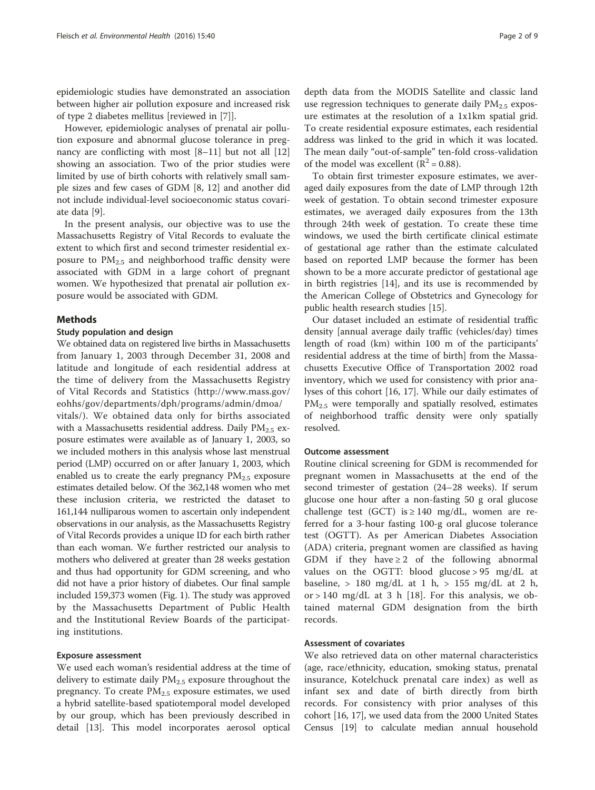epidemiologic studies have demonstrated an association between higher air pollution exposure and increased risk of type 2 diabetes mellitus [reviewed in [\[7](#page--1-0)]].

However, epidemiologic analyses of prenatal air pollution exposure and abnormal glucose tolerance in pregnancy are conflicting with most [[8](#page--1-0)–[11](#page--1-0)] but not all [[12](#page--1-0)] showing an association. Two of the prior studies were limited by use of birth cohorts with relatively small sample sizes and few cases of GDM [[8, 12](#page--1-0)] and another did not include individual-level socioeconomic status covariate data [[9\]](#page--1-0).

In the present analysis, our objective was to use the Massachusetts Registry of Vital Records to evaluate the extent to which first and second trimester residential exposure to  $PM_{2.5}$  and neighborhood traffic density were associated with GDM in a large cohort of pregnant women. We hypothesized that prenatal air pollution exposure would be associated with GDM.

# Methods

# Study population and design

We obtained data on registered live births in Massachusetts from January 1, 2003 through December 31, 2008 and latitude and longitude of each residential address at the time of delivery from the Massachusetts Registry of Vital Records and Statistics ([http://www.mass.gov/](http://www.mass.gov/eohhs/gov/departments/dph/programs/admin/dmoa/vitals/) [eohhs/gov/departments/dph/programs/admin/dmoa/](http://www.mass.gov/eohhs/gov/departments/dph/programs/admin/dmoa/vitals/) [vitals/\)](http://www.mass.gov/eohhs/gov/departments/dph/programs/admin/dmoa/vitals/). We obtained data only for births associated with a Massachusetts residential address. Daily  $PM_{2.5}$  exposure estimates were available as of January 1, 2003, so we included mothers in this analysis whose last menstrual period (LMP) occurred on or after January 1, 2003, which enabled us to create the early pregnancy  $PM_{2.5}$  exposure

estimates detailed below. Of the 362,148 women who met these inclusion criteria, we restricted the dataset to 161,144 nulliparous women to ascertain only independent observations in our analysis, as the Massachusetts Registry of Vital Records provides a unique ID for each birth rather than each woman. We further restricted our analysis to mothers who delivered at greater than 28 weeks gestation and thus had opportunity for GDM screening, and who did not have a prior history of diabetes. Our final sample included 159,373 women (Fig. [1\)](#page-2-0). The study was approved by the Massachusetts Department of Public Health and the Institutional Review Boards of the participating institutions.

## Exposure assessment

We used each woman's residential address at the time of delivery to estimate daily  $PM_{2.5}$  exposure throughout the pregnancy. To create  $PM<sub>2.5</sub>$  exposure estimates, we used a hybrid satellite-based spatiotemporal model developed by our group, which has been previously described in detail [\[13](#page--1-0)]. This model incorporates aerosol optical depth data from the MODIS Satellite and classic land use regression techniques to generate daily  $PM_{2.5}$  exposure estimates at the resolution of a 1x1km spatial grid. To create residential exposure estimates, each residential address was linked to the grid in which it was located. The mean daily "out-of-sample" ten-fold cross-validation of the model was excellent ( $R^2$  = 0.88).

To obtain first trimester exposure estimates, we averaged daily exposures from the date of LMP through 12th week of gestation. To obtain second trimester exposure estimates, we averaged daily exposures from the 13th through 24th week of gestation. To create these time windows, we used the birth certificate clinical estimate of gestational age rather than the estimate calculated based on reported LMP because the former has been shown to be a more accurate predictor of gestational age in birth registries [\[14](#page--1-0)], and its use is recommended by the American College of Obstetrics and Gynecology for public health research studies [\[15](#page--1-0)].

Our dataset included an estimate of residential traffic density [annual average daily traffic (vehicles/day) times length of road (km) within 100 m of the participants' residential address at the time of birth] from the Massachusetts Executive Office of Transportation 2002 road inventory, which we used for consistency with prior analyses of this cohort [[16, 17\]](#page--1-0). While our daily estimates of  $PM<sub>2.5</sub>$  were temporally and spatially resolved, estimates of neighborhood traffic density were only spatially resolved.

# Outcome assessment

Routine clinical screening for GDM is recommended for pregnant women in Massachusetts at the end of the second trimester of gestation (24–28 weeks). If serum glucose one hour after a non-fasting 50 g oral glucose challenge test (GCT) is  $\geq$  140 mg/dL, women are referred for a 3-hour fasting 100-g oral glucose tolerance test (OGTT). As per American Diabetes Association (ADA) criteria, pregnant women are classified as having GDM if they have  $\geq 2$  of the following abnormal values on the OGTT: blood glucose > 95 mg/dL at baseline,  $> 180 \text{ mg/dL}$  at 1 h,  $> 155 \text{ mg/dL}$  at 2 h, or > 140 mg/dL at 3 h [[18\]](#page--1-0). For this analysis, we obtained maternal GDM designation from the birth records.

# Assessment of covariates

We also retrieved data on other maternal characteristics (age, race/ethnicity, education, smoking status, prenatal insurance, Kotelchuck prenatal care index) as well as infant sex and date of birth directly from birth records. For consistency with prior analyses of this cohort [\[16, 17](#page--1-0)], we used data from the 2000 United States Census [[19](#page--1-0)] to calculate median annual household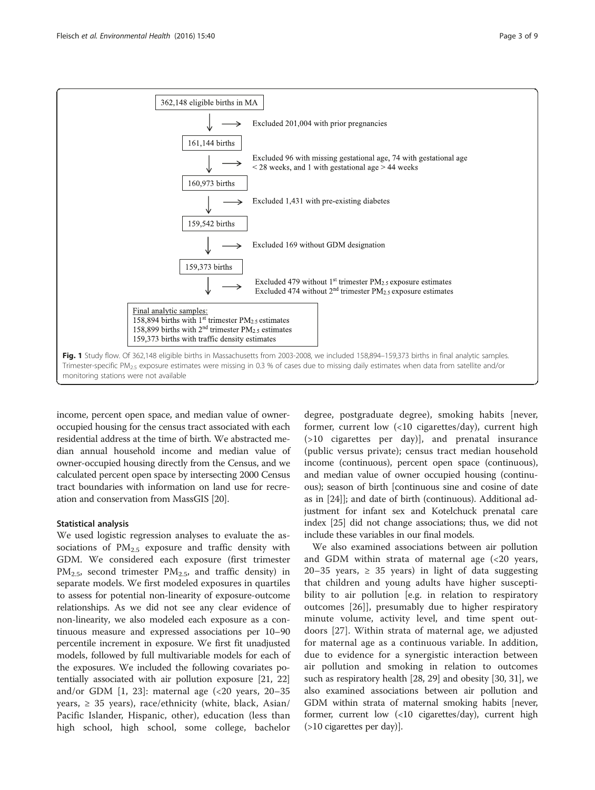<span id="page-2-0"></span>

income, percent open space, and median value of owneroccupied housing for the census tract associated with each residential address at the time of birth. We abstracted median annual household income and median value of owner-occupied housing directly from the Census, and we calculated percent open space by intersecting 2000 Census tract boundaries with information on land use for recreation and conservation from MassGIS [[20](#page--1-0)].

# Statistical analysis

We used logistic regression analyses to evaluate the associations of  $PM_{2.5}$  exposure and traffic density with GDM. We considered each exposure (first trimester  $PM_{2.5}$ , second trimester  $PM_{2.5}$ , and traffic density) in separate models. We first modeled exposures in quartiles to assess for potential non-linearity of exposure-outcome relationships. As we did not see any clear evidence of non-linearity, we also modeled each exposure as a continuous measure and expressed associations per 10–90 percentile increment in exposure. We first fit unadjusted models, followed by full multivariable models for each of the exposures. We included the following covariates potentially associated with air pollution exposure [\[21, 22](#page--1-0)] and/or GDM  $[1, 23]$  $[1, 23]$ : maternal age  $\langle 20 \rangle$  years, 20–35 years,  $\geq$  35 years), race/ethnicity (white, black, Asian/ Pacific Islander, Hispanic, other), education (less than high school, high school, some college, bachelor

degree, postgraduate degree), smoking habits [never, former, current low (<10 cigarettes/day), current high (>10 cigarettes per day)], and prenatal insurance (public versus private); census tract median household income (continuous), percent open space (continuous), and median value of owner occupied housing (continuous); season of birth [continuous sine and cosine of date as in [\[24](#page--1-0)]]; and date of birth (continuous). Additional adjustment for infant sex and Kotelchuck prenatal care index [[25](#page--1-0)] did not change associations; thus, we did not include these variables in our final models.

We also examined associations between air pollution and GDM within strata of maternal age  $( $20$  years,$ 20–35 years,  $\geq$  35 years) in light of data suggesting that children and young adults have higher susceptibility to air pollution [e.g. in relation to respiratory outcomes [[26\]](#page--1-0)], presumably due to higher respiratory minute volume, activity level, and time spent outdoors [\[27](#page--1-0)]. Within strata of maternal age, we adjusted for maternal age as a continuous variable. In addition, due to evidence for a synergistic interaction between air pollution and smoking in relation to outcomes such as respiratory health [[28](#page--1-0), [29\]](#page--1-0) and obesity [\[30, 31](#page--1-0)], we also examined associations between air pollution and GDM within strata of maternal smoking habits [never, former, current low (<10 cigarettes/day), current high (>10 cigarettes per day)].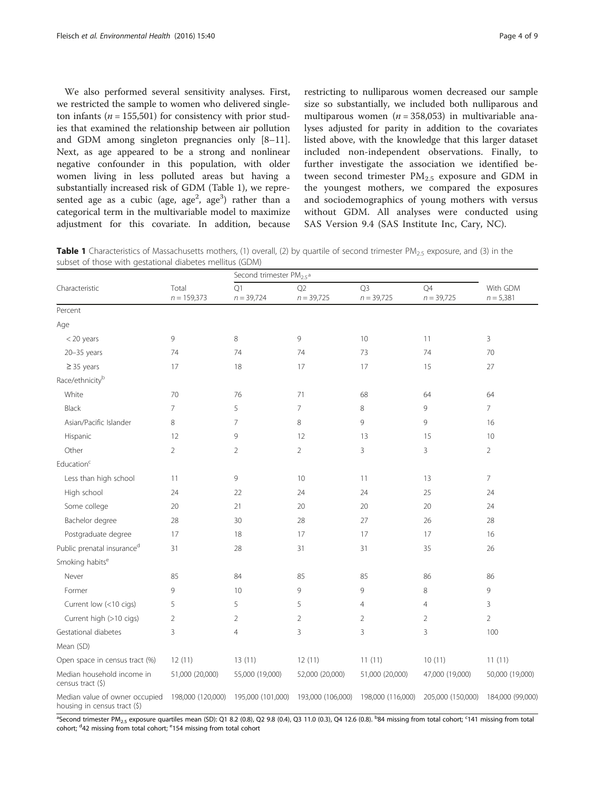<span id="page-3-0"></span>We also performed several sensitivity analyses. First, we restricted the sample to women who delivered singleton infants ( $n = 155,501$ ) for consistency with prior studies that examined the relationship between air pollution and GDM among singleton pregnancies only [[8](#page--1-0)–[11](#page--1-0)]. Next, as age appeared to be a strong and nonlinear negative confounder in this population, with older women living in less polluted areas but having a substantially increased risk of GDM (Table 1), we represented age as a cubic (age, age<sup>2</sup>, age<sup>3</sup>) rather than a categorical term in the multivariable model to maximize adjustment for this covariate. In addition, because restricting to nulliparous women decreased our sample size so substantially, we included both nulliparous and multiparous women ( $n = 358,053$ ) in multivariable analyses adjusted for parity in addition to the covariates listed above, with the knowledge that this larger dataset included non-independent observations. Finally, to further investigate the association we identified between second trimester  $PM_{2.5}$  exposure and GDM in the youngest mothers, we compared the exposures and sociodemographics of young mothers with versus without GDM. All analyses were conducted using SAS Version 9.4 (SAS Institute Inc, Cary, NC).

Table 1 Characteristics of Massachusetts mothers, (1) overall, (2) by quartile of second trimester PM<sub>2.5</sub> exposure, and (3) in the subset of those with gestational diabetes mellitus (GDM)

|                                                                |                        | Second trimester PM <sub>2.5</sub> <sup>a</sup> |                    |                                |                    |                         |
|----------------------------------------------------------------|------------------------|-------------------------------------------------|--------------------|--------------------------------|--------------------|-------------------------|
| Characteristic                                                 | Total<br>$n = 159,373$ | Q1<br>$n = 39,724$                              | O2<br>$n = 39,725$ | Q <sub>3</sub><br>$n = 39,725$ | Q4<br>$n = 39,725$ | With GDM<br>$n = 5,381$ |
| Percent                                                        |                        |                                                 |                    |                                |                    |                         |
| Age                                                            |                        |                                                 |                    |                                |                    |                         |
| $<$ 20 years                                                   | 9                      | 8                                               | 9                  | 10                             | 11                 | 3                       |
| $20 - 35$ years                                                | 74                     | 74                                              | 74                 | 73                             | 74                 | 70                      |
| $\geq$ 35 years                                                | 17                     | 18                                              | 17                 | 17                             | 15                 | 27                      |
| Race/ethnicityb                                                |                        |                                                 |                    |                                |                    |                         |
| White                                                          | 70                     | 76                                              | 71                 | 68                             | 64                 | 64                      |
| Black                                                          | $\overline{7}$         | 5                                               | $\overline{7}$     | 8                              | 9                  | $\overline{7}$          |
| Asian/Pacific Islander                                         | 8                      | $\overline{7}$                                  | 8                  | 9                              | 9                  | 16                      |
| Hispanic                                                       | 12                     | 9                                               | 12                 | 13                             | 15                 | 10                      |
| Other                                                          | $\overline{2}$         | $\overline{2}$                                  | $\overline{2}$     | 3                              | 3                  | $\overline{2}$          |
| Education <sup>c</sup>                                         |                        |                                                 |                    |                                |                    |                         |
| Less than high school                                          | 11                     | 9                                               | 10                 | 11                             | 13                 | $\overline{7}$          |
| High school                                                    | 24                     | 22                                              | 24                 | 24                             | 25                 | 24                      |
| Some college                                                   | 20                     | 21                                              | 20                 | 20                             | 20                 | 24                      |
| Bachelor degree                                                | 28                     | 30                                              | 28                 | 27                             | 26                 | 28                      |
| Postgraduate degree                                            | 17                     | 18                                              | 17                 | 17                             | 17                 | 16                      |
| Public prenatal insuranced                                     | 31                     | 28                                              | 31                 | 31                             | 35                 | 26                      |
| Smoking habits <sup>e</sup>                                    |                        |                                                 |                    |                                |                    |                         |
| Never                                                          | 85                     | 84                                              | 85                 | 85                             | 86                 | 86                      |
| Former                                                         | 9                      | 10                                              | 9                  | 9                              | 8                  | 9                       |
| Current low (<10 cigs)                                         | 5                      | 5                                               | 5                  | $\overline{4}$                 | $\overline{4}$     | 3                       |
| Current high (>10 cigs)                                        | $\overline{2}$         | $\overline{2}$                                  | $\overline{2}$     | $\overline{2}$                 | $\overline{2}$     | $\overline{2}$          |
| Gestational diabetes                                           | 3                      | $\overline{4}$                                  | 3                  | 3                              | 3                  | 100                     |
| Mean (SD)                                                      |                        |                                                 |                    |                                |                    |                         |
| Open space in census tract (%)                                 | 12(11)                 | 13(11)                                          | 12(11)             | 11(11)                         | 10(11)             | 11(11)                  |
| Median household income in<br>census tract $(5)$               | 51,000 (20,000)        | 55,000 (19,000)                                 | 52,000 (20,000)    | 51,000 (20,000)                | 47,000 (19,000)    | 50,000 (19,000)         |
| Median value of owner occupied<br>housing in census tract (\$) | 198,000 (120,000)      | 195,000 (101,000)                               | 193,000 (106,000)  | 198,000 (116,000)              | 205,000 (150,000)  | 184,000 (99,000)        |

<sup>a</sup>Second trimester PM<sub>2.5</sub> exposure quartiles mean (SD): Q1 8.2 (0.8), Q2 9.8 (0.4), Q3 11.0 (0.3), Q4 12.6 (0.8). <sup>b</sup>84 missing from total cohort; <sup>c</sup>141 missing from total cohort; <sup>d</sup>42 missing from total cohort; <sup>e</sup>154 missing from total cohort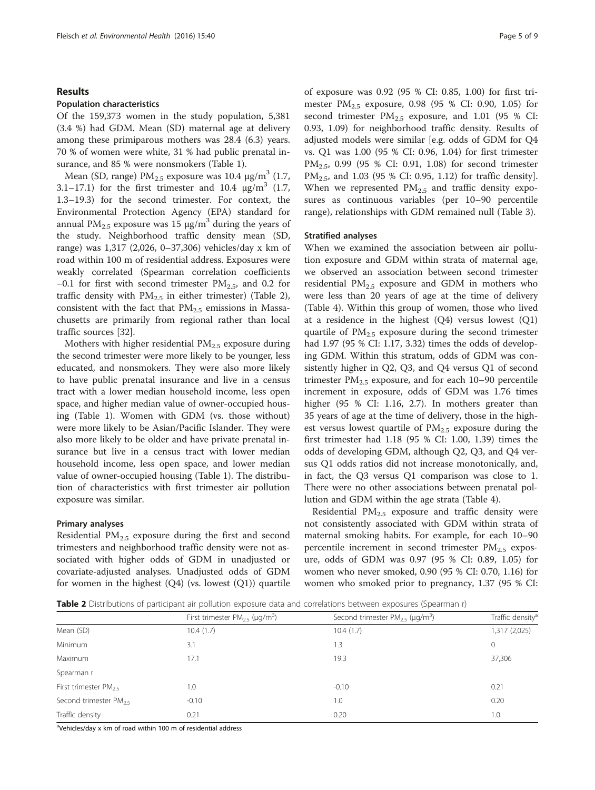# Results

# Population characteristics

Of the 159,373 women in the study population, 5,381 (3.4 %) had GDM. Mean (SD) maternal age at delivery among these primiparous mothers was 28.4 (6.3) years. 70 % of women were white, 31 % had public prenatal insurance, and 85 % were nonsmokers (Table [1\)](#page-3-0).

Mean (SD, range)  $PM_{2.5}$  exposure was 10.4  $\mu$ g/m<sup>3</sup> (1.7, 3.1–17.1) for the first trimester and 10.4  $\mu$ g/m<sup>3</sup> (1.7, 1.3–19.3) for the second trimester. For context, the Environmental Protection Agency (EPA) standard for annual PM<sub>2.5</sub> exposure was 15  $\mu$ g/m<sup>3</sup> during the years of the study. Neighborhood traffic density mean (SD, range) was 1,317 (2,026, 0–37,306) vehicles/day x km of road within 100 m of residential address. Exposures were weakly correlated (Spearman correlation coefficients −0.1 for first with second trimester  $PM_{2.5}$ , and 0.2 for traffic density with  $PM_{2.5}$  in either trimester) (Table 2), consistent with the fact that  $PM_{2.5}$  emissions in Massachusetts are primarily from regional rather than local traffic sources [\[32\]](#page--1-0).

Mothers with higher residential  $PM_{2.5}$  exposure during the second trimester were more likely to be younger, less educated, and nonsmokers. They were also more likely to have public prenatal insurance and live in a census tract with a lower median household income, less open space, and higher median value of owner-occupied housing (Table [1\)](#page-3-0). Women with GDM (vs. those without) were more likely to be Asian/Pacific Islander. They were also more likely to be older and have private prenatal insurance but live in a census tract with lower median household income, less open space, and lower median value of owner-occupied housing (Table [1](#page-3-0)). The distribution of characteristics with first trimester air pollution exposure was similar.

# Primary analyses

Residential  $PM_{2.5}$  exposure during the first and second trimesters and neighborhood traffic density were not associated with higher odds of GDM in unadjusted or covariate-adjusted analyses. Unadjusted odds of GDM for women in the highest  $(Q4)$  (vs. lowest  $(Q1)$ ) quartile

of exposure was 0.92 (95 % CI: 0.85, 1.00) for first trimester  $PM_{2.5}$  exposure, 0.98 (95 % CI: 0.90, 1.05) for second trimester  $PM_{2.5}$  exposure, and 1.01 (95 % CI: 0.93, 1.09) for neighborhood traffic density. Results of adjusted models were similar [e.g. odds of GDM for Q4 vs. Q1 was 1.00 (95 % CI: 0.96, 1.04) for first trimester PM<sub>2.5</sub>, 0.99 (95 % CI: 0.91, 1.08) for second trimester  $PM_{2.5}$ , and 1.03 (95 % CI: 0.95, 1.12) for traffic density]. When we represented  $PM_{2.5}$  and traffic density exposures as continuous variables (per 10–90 percentile range), relationships with GDM remained null (Table [3\)](#page-5-0).

## Stratified analyses

When we examined the association between air pollution exposure and GDM within strata of maternal age, we observed an association between second trimester residential  $PM_{2.5}$  exposure and GDM in mothers who were less than 20 years of age at the time of delivery (Table [4\)](#page-6-0). Within this group of women, those who lived at a residence in the highest  $(Q4)$  versus lowest  $(Q1)$ quartile of  $PM<sub>2.5</sub>$  exposure during the second trimester had 1.97 (95 % CI: 1.17, 3.32) times the odds of developing GDM. Within this stratum, odds of GDM was consistently higher in Q2, Q3, and Q4 versus Q1 of second trimester  $PM_{2.5}$  exposure, and for each 10–90 percentile increment in exposure, odds of GDM was 1.76 times higher (95 % CI: 1.16, 2.7). In mothers greater than 35 years of age at the time of delivery, those in the highest versus lowest quartile of  $PM<sub>2.5</sub>$  exposure during the first trimester had 1.18 (95 % CI: 1.00, 1.39) times the odds of developing GDM, although Q2, Q3, and Q4 versus Q1 odds ratios did not increase monotonically, and, in fact, the Q3 versus Q1 comparison was close to 1. There were no other associations between prenatal pollution and GDM within the age strata (Table [4](#page-6-0)).

Residential  $PM<sub>2.5</sub>$  exposure and traffic density were not consistently associated with GDM within strata of maternal smoking habits. For example, for each 10–90 percentile increment in second trimester  $PM<sub>2.5</sub>$  exposure, odds of GDM was 0.97 (95 % CI: 0.89, 1.05) for women who never smoked, 0.90 (95 % CI: 0.70, 1.16) for women who smoked prior to pregnancy, 1.37 (95 % CI:

Table 2 Distributions of participant air pollution exposure data and correlations between exposures (Spearman r)

|                                   | First trimester $PM_{2.5}$ (µg/m <sup>3</sup> ) | Second trimester $PM_{25}$ (µg/m <sup>3</sup> ) | Traffic density <sup>a</sup> |
|-----------------------------------|-------------------------------------------------|-------------------------------------------------|------------------------------|
| Mean (SD)                         | 10.4(1.7)                                       | 10.4(1.7)                                       | 1,317 (2,025)                |
| Minimum                           | 3.1                                             | 1.3                                             | $\mathbf{0}$                 |
| Maximum                           | 17.1                                            | 19.3                                            | 37,306                       |
| Spearman r                        |                                                 |                                                 |                              |
| First trimester $PM_{2.5}$        | 1.0                                             | $-0.10$                                         | 0.21                         |
| Second trimester PM <sub>25</sub> | $-0.10$                                         | 1.0                                             | 0.20                         |
| Traffic density                   | 0.21                                            | 0.20                                            | 1.0                          |

<sup>a</sup>Vehicles/day x km of road within 100 m of residential address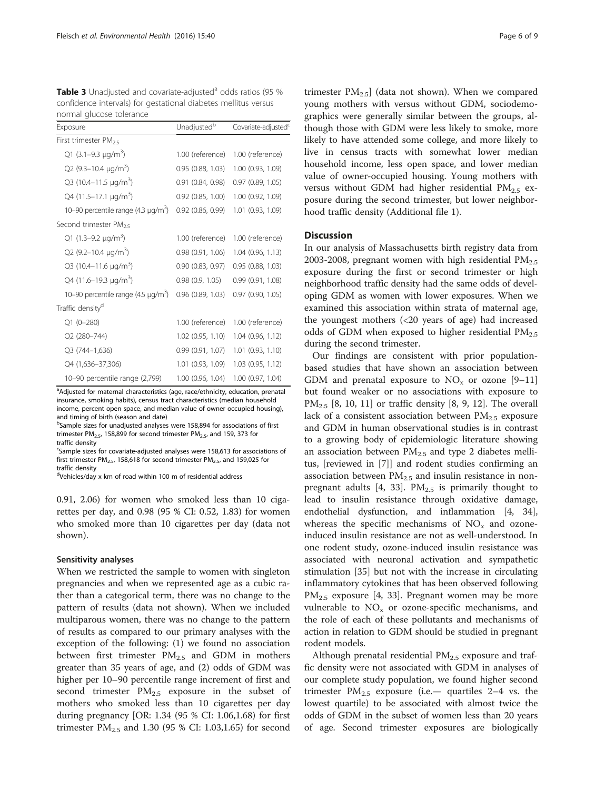<span id="page-5-0"></span>Table 3 Unadjusted and covariate-adjusted<sup>a</sup> odds ratios (95 % confidence intervals) for gestational diabetes mellitus versus normal glucose tolerance

| Exposure                                 | Unadjusted <sup>b</sup> | Covariate-adjusted <sup>c</sup> |  |
|------------------------------------------|-------------------------|---------------------------------|--|
| First trimester $PM_{2.5}$               |                         |                                 |  |
| Q1 (3.1-9.3 $\mu q/m^3$ )                | 1.00 (reference)        | 1.00 (reference)                |  |
| Q2 (9.3-10.4 $\mu$ g/m <sup>3</sup> )    | 0.95(0.88, 1.03)        | 1.00 (0.93, 1.09)               |  |
| Q3 (10.4-11.5 µg/m <sup>3</sup> )        | 0.91(0.84, 0.98)        | $0.97$ $(0.89, 1.05)$           |  |
| Q4 (11.5-17.1 $\mu$ g/m <sup>3</sup> )   | $0.92$ $(0.85, 1.00)$   | 1.00 (0.92, 1.09)               |  |
| 10-90 percentile range $(4.3 \mu g/m^3)$ | $0.92$ $(0.86, 0.99)$   | 1.01 (0.93, 1.09)               |  |
| Second trimester PM <sub>25</sub>        |                         |                                 |  |
| Q1 (1.3–9.2 $\mu$ g/m <sup>3</sup> )     | 1.00 (reference)        | 1.00 (reference)                |  |
| Q2 (9.2-10.4 $\mu$ g/m <sup>3</sup> )    | 0.98(0.91, 1.06)        | 1.04 (0.96, 1.13)               |  |
| Q3 (10.4-11.6 $\mu$ g/m <sup>3</sup> )   | 0.90(0.83, 0.97)        | $0.95$ (0.88, 1.03)             |  |
| Q4 (11.6-19.3 $\mu$ g/m <sup>3</sup> )   | 0.98(0.9, 1.05)         | 0.99(0.91, 1.08)                |  |
| 10-90 percentile range $(4.5 \mu q/m^3)$ | $0.96$ $(0.89, 1.03)$   | $0.97$ (0.90, 1.05)             |  |
| Traffic density <sup>d</sup>             |                         |                                 |  |
| $Q1(0-280)$                              | 1.00 (reference)        | 1.00 (reference)                |  |
| Q2 (280-744)                             | 1.02(0.95, 1.10)        | 1.04 (0.96, 1.12)               |  |
| Q3 (744-1,636)                           | 0.99(0.91, 1.07)        | 1.01 (0.93, 1.10)               |  |
| Q4 (1,636-37,306)                        | 1.01 (0.93, 1.09)       | 1.03 (0.95, 1.12)               |  |
| 10-90 percentile range (2,799)           | 1.00 (0.96, 1.04)       | 1.00 (0.97, 1.04)               |  |

<sup>a</sup>Adjusted for maternal characteristics (age, race/ethnicity, education, prenatal insurance, smoking habits), census tract characteristics (median household income, percent open space, and median value of owner occupied housing), and timing of birth (season and date)

<sup>b</sup>Sample sizes for unadjusted analyses were 158,894 for associations of first trimester PM<sub>2.5</sub>, 158,899 for second trimester PM<sub>2.5</sub>, and 159, 373 for traffic density

<sup>c</sup>Sample sizes for covariate-adjusted analyses were 158,613 for associations of first trimester  $PM<sub>2.5</sub>$ , 158,618 for second trimester  $PM<sub>2.5</sub>$ , and 159,025 for traffic density

<sup>d</sup>Vehicles/day x km of road within 100 m of residential address

0.91, 2.06) for women who smoked less than 10 cigarettes per day, and 0.98 (95 % CI: 0.52, 1.83) for women who smoked more than 10 cigarettes per day (data not shown).

# Sensitivity analyses

When we restricted the sample to women with singleton pregnancies and when we represented age as a cubic rather than a categorical term, there was no change to the pattern of results (data not shown). When we included multiparous women, there was no change to the pattern of results as compared to our primary analyses with the exception of the following: (1) we found no association between first trimester  $PM_{2.5}$  and GDM in mothers greater than 35 years of age, and (2) odds of GDM was higher per 10–90 percentile range increment of first and second trimester  $PM_{2.5}$  exposure in the subset of mothers who smoked less than 10 cigarettes per day during pregnancy [OR: 1.34 (95 % CI: 1.06,1.68) for first trimester  $PM_{2.5}$  and 1.30 (95 % CI: 1.03,1.65) for second

trimester  $PM_{2.5}$ ] (data not shown). When we compared young mothers with versus without GDM, sociodemographics were generally similar between the groups, although those with GDM were less likely to smoke, more likely to have attended some college, and more likely to live in census tracts with somewhat lower median household income, less open space, and lower median value of owner-occupied housing. Young mothers with versus without GDM had higher residential  $PM_{2.5}$  exposure during the second trimester, but lower neighborhood traffic density (Additional file [1\)](#page-7-0).

# **Discussion**

In our analysis of Massachusetts birth registry data from 2003-2008, pregnant women with high residential  $PM_{2.5}$ exposure during the first or second trimester or high neighborhood traffic density had the same odds of developing GDM as women with lower exposures. When we examined this association within strata of maternal age, the youngest mothers (<20 years of age) had increased odds of GDM when exposed to higher residential  $PM_{2.5}$ during the second trimester.

Our findings are consistent with prior populationbased studies that have shown an association between GDM and prenatal exposure to  $NO<sub>x</sub>$  or ozone [[9](#page--1-0)–[11](#page--1-0)] but found weaker or no associations with exposure to  $PM_{2,5}$  [[8, 10](#page--1-0), [11\]](#page--1-0) or traffic density [\[8](#page--1-0), [9, 12\]](#page--1-0). The overall lack of a consistent association between  $PM_{2.5}$  exposure and GDM in human observational studies is in contrast to a growing body of epidemiologic literature showing an association between  $PM<sub>2.5</sub>$  and type 2 diabetes mellitus, [reviewed in [[7\]](#page--1-0)] and rodent studies confirming an association between  $PM_{2.5}$  and insulin resistance in non-pregnant adults [[4, 33\]](#page--1-0). PM<sub>2.5</sub> is primarily thought to lead to insulin resistance through oxidative damage, endothelial dysfunction, and inflammation [[4, 34](#page--1-0)], whereas the specific mechanisms of  $NO<sub>x</sub>$  and ozoneinduced insulin resistance are not as well-understood. In one rodent study, ozone-induced insulin resistance was associated with neuronal activation and sympathetic stimulation [[35\]](#page--1-0) but not with the increase in circulating inflammatory cytokines that has been observed following  $PM_{2,5}$  exposure [[4](#page--1-0), [33\]](#page--1-0). Pregnant women may be more vulnerable to  $NO<sub>x</sub>$  or ozone-specific mechanisms, and the role of each of these pollutants and mechanisms of action in relation to GDM should be studied in pregnant rodent models.

Although prenatal residential  $PM_{2.5}$  exposure and traffic density were not associated with GDM in analyses of our complete study population, we found higher second trimester  $PM_{2.5}$  exposure (i.e. quartiles 2–4 vs. the lowest quartile) to be associated with almost twice the odds of GDM in the subset of women less than 20 years of age. Second trimester exposures are biologically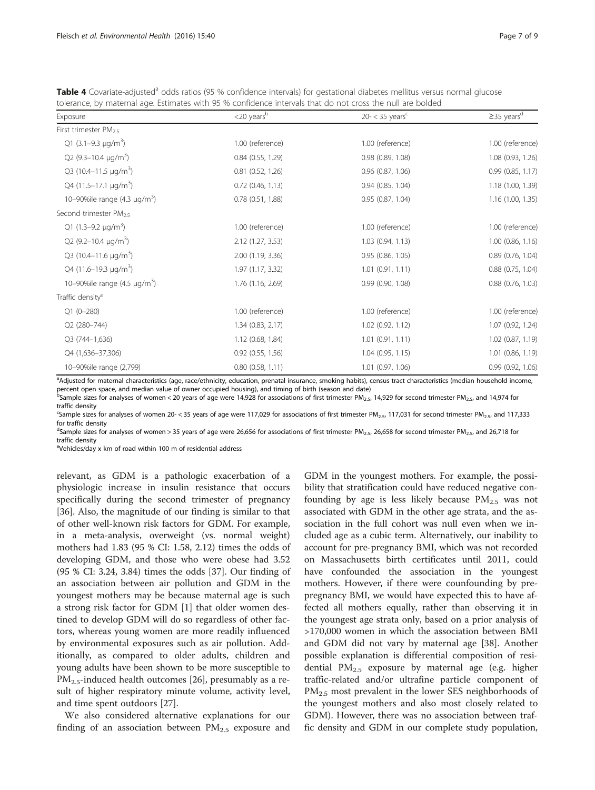<span id="page-6-0"></span>Table 4 Covariate-adjusted<sup>a</sup> odds ratios (95 % confidence intervals) for gestational diabetes mellitus versus normal glucose tolerance, by maternal age. Estimates with 95 % confidence intervals that do not cross the null are bolded

| Exposure                               | $<$ 20 years $b$      | $20 - < 35$ years <sup>c</sup> | $\geq$ 35 years <sup>d</sup> |
|----------------------------------------|-----------------------|--------------------------------|------------------------------|
| First trimester $PM_{2.5}$             |                       |                                |                              |
| Q1 (3.1-9.3 $\mu$ g/m <sup>3</sup> )   | 1.00 (reference)      | 1.00 (reference)               | 1.00 (reference)             |
| Q2 (9.3-10.4 $\mu$ g/m <sup>3</sup> )  | $0.84$ $(0.55, 1.29)$ | 0.98(0.89, 1.08)               | 1.08 (0.93, 1.26)            |
| Q3 (10.4-11.5 $\mu$ g/m <sup>3</sup> ) | $0.81$ $(0.52, 1.26)$ | 0.96 (0.87, 1.06)              | 0.99(0.85, 1.17)             |
| Q4 (11.5-17.1 µg/m <sup>3</sup> )      | $0.72$ (0.46, 1.13)   | $0.94$ $(0.85, 1.04)$          | 1.18 (1.00, 1.39)            |
| 10-90%ile range $(4.3 \text{ µg/m}^3)$ | $0.78$ $(0.51, 1.88)$ | 0.95(0.87, 1.04)               | 1.16 (1.00, 1.35)            |
| Second trimester $PM_{2.5}$            |                       |                                |                              |
| Q1 (1.3–9.2 $\mu$ g/m <sup>3</sup> )   | 1.00 (reference)      | 1.00 (reference)               | 1.00 (reference)             |
| Q2 (9.2-10.4 $\mu$ g/m <sup>3</sup> )  | 2.12 (1.27, 3.53)     | 1.03(0.94, 1.13)               | 1.00 (0.86, 1.16)            |
| Q3 (10.4–11.6 $\mu$ g/m <sup>3</sup> ) | 2.00 (1.19, 3.36)     | 0.95(0.86, 1.05)               | 0.89 (0.76, 1.04)            |
| Q4 (11.6-19.3 µg/m <sup>3</sup> )      | 1.97 (1.17, 3.32)     | 1.01(0.91, 1.11)               | 0.88 (0.75, 1.04)            |
| 10-90%ile range $(4.5 \mu g/m^3)$      | 1.76 (1.16, 2.69)     | 0.99(0.90, 1.08)               | $0.88$ (0.76, 1.03)          |
| Traffic density <sup>e</sup>           |                       |                                |                              |
| $Q1(0-280)$                            | 1.00 (reference)      | 1.00 (reference)               | 1.00 (reference)             |
| Q2 (280-744)                           | 1.34(0.83, 2.17)      | 1.02 (0.92, 1.12)              | 1.07 (0.92, 1.24)            |
| Q3 (744-1,636)                         | 1.12 (0.68, 1.84)     | $1.01$ $(0.91, 1.11)$          | 1.02 (0.87, 1.19)            |
| Q4 (1,636-37,306)                      | $0.92$ $(0.55, 1.56)$ | 1.04(0.95, 1.15)               | 1.01 (0.86, 1.19)            |
| 10-90%ile range (2,799)                | $0.80$ $(0.58, 1.11)$ | 1.01 (0.97, 1.06)              | 0.99 (0.92, 1.06)            |

a<br>Adjusted for maternal characteristics (age, race/ethnicity, education, prenatal insurance, smoking habits), census tract characteristics (median household income percent open space, and median value of owner occupied housing), and timing of birth (season and date)

bSample sizes for analyses of women < 20 years of age were 14,928 for associations of first trimester PM<sub>2.5</sub>, 14,929 for second trimester PM<sub>2.5</sub>, and 14,974 for traffic density

<sup>c</sup>Sample sizes for analyses of women 20- < 35 years of age were 117,029 for associations of first trimester PM<sub>2.5</sub>, 117,031 for second trimester PM<sub>2.5</sub>, and 117,333 for traffic density

<sup>d</sup>Sample sizes for analyses of women > 35 years of age were 26,656 for associations of first trimester PM<sub>2.5</sub>, 26,658 for second trimester PM<sub>2.5</sub>, and 26,718 for traffic density

eVehicles/day x km of road within 100 m of residential address

relevant, as GDM is a pathologic exacerbation of a physiologic increase in insulin resistance that occurs specifically during the second trimester of pregnancy [[36\]](#page--1-0). Also, the magnitude of our finding is similar to that of other well-known risk factors for GDM. For example, in a meta-analysis, overweight (vs. normal weight) mothers had 1.83 (95 % CI: 1.58, 2.12) times the odds of developing GDM, and those who were obese had 3.52 (95 % CI: 3.24, 3.84) times the odds [[37\]](#page--1-0). Our finding of an association between air pollution and GDM in the youngest mothers may be because maternal age is such a strong risk factor for GDM [[1\]](#page--1-0) that older women destined to develop GDM will do so regardless of other factors, whereas young women are more readily influenced by environmental exposures such as air pollution. Additionally, as compared to older adults, children and young adults have been shown to be more susceptible to  $PM_{2.5}$ -induced health outcomes [[26](#page--1-0)], presumably as a result of higher respiratory minute volume, activity level, and time spent outdoors [\[27](#page--1-0)].

We also considered alternative explanations for our finding of an association between  $PM_{2.5}$  exposure and GDM in the youngest mothers. For example, the possibility that stratification could have reduced negative confounding by age is less likely because  $PM_{2.5}$  was not associated with GDM in the other age strata, and the association in the full cohort was null even when we included age as a cubic term. Alternatively, our inability to account for pre-pregnancy BMI, which was not recorded on Massachusetts birth certificates until 2011, could have confounded the association in the youngest mothers. However, if there were counfounding by prepregnancy BMI, we would have expected this to have affected all mothers equally, rather than observing it in the youngest age strata only, based on a prior analysis of >170,000 women in which the association between BMI and GDM did not vary by maternal age [[38\]](#page--1-0). Another possible explanation is differential composition of residential  $PM_{2,5}$  exposure by maternal age (e.g. higher traffic-related and/or ultrafine particle component of PM<sub>2.5</sub> most prevalent in the lower SES neighborhoods of the youngest mothers and also most closely related to GDM). However, there was no association between traffic density and GDM in our complete study population,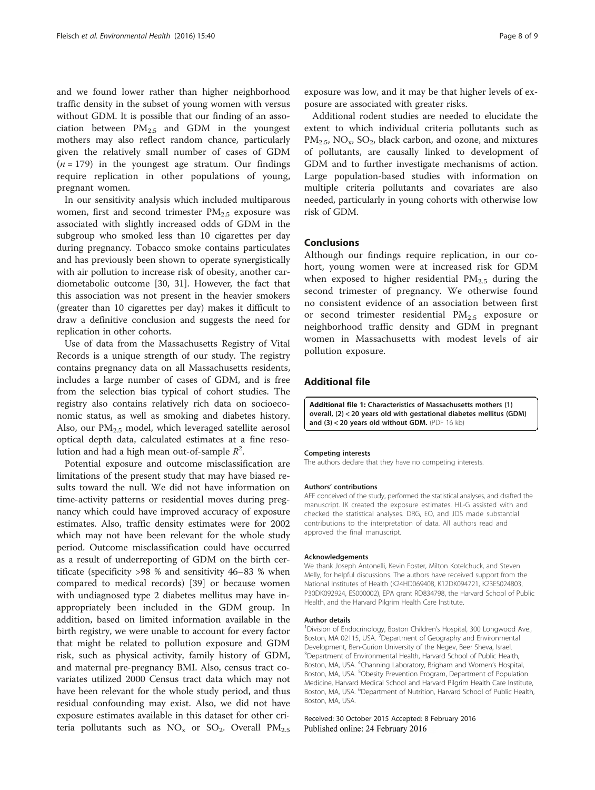<span id="page-7-0"></span>and we found lower rather than higher neighborhood traffic density in the subset of young women with versus without GDM. It is possible that our finding of an association between  $PM_{2.5}$  and GDM in the youngest mothers may also reflect random chance, particularly given the relatively small number of cases of GDM  $(n = 179)$  in the youngest age stratum. Our findings require replication in other populations of young, pregnant women.

In our sensitivity analysis which included multiparous women, first and second trimester  $PM_{2.5}$  exposure was associated with slightly increased odds of GDM in the subgroup who smoked less than 10 cigarettes per day during pregnancy. Tobacco smoke contains particulates and has previously been shown to operate synergistically with air pollution to increase risk of obesity, another cardiometabolic outcome [[30, 31](#page--1-0)]. However, the fact that this association was not present in the heavier smokers (greater than 10 cigarettes per day) makes it difficult to draw a definitive conclusion and suggests the need for replication in other cohorts.

Use of data from the Massachusetts Registry of Vital Records is a unique strength of our study. The registry contains pregnancy data on all Massachusetts residents, includes a large number of cases of GDM, and is free from the selection bias typical of cohort studies. The registry also contains relatively rich data on socioeconomic status, as well as smoking and diabetes history. Also, our  $PM<sub>2.5</sub>$  model, which leveraged satellite aerosol optical depth data, calculated estimates at a fine resolution and had a high mean out-of-sample  $R^2$ .

Potential exposure and outcome misclassification are limitations of the present study that may have biased results toward the null. We did not have information on time-activity patterns or residential moves during pregnancy which could have improved accuracy of exposure estimates. Also, traffic density estimates were for 2002 which may not have been relevant for the whole study period. Outcome misclassification could have occurred as a result of underreporting of GDM on the birth certificate (specificity >98 % and sensitivity 46–83 % when compared to medical records) [[39\]](#page--1-0) or because women with undiagnosed type 2 diabetes mellitus may have inappropriately been included in the GDM group. In addition, based on limited information available in the birth registry, we were unable to account for every factor that might be related to pollution exposure and GDM risk, such as physical activity, family history of GDM, and maternal pre-pregnancy BMI. Also, census tract covariates utilized 2000 Census tract data which may not have been relevant for the whole study period, and thus residual confounding may exist. Also, we did not have exposure estimates available in this dataset for other criteria pollutants such as  $NO_x$  or  $SO_2$ . Overall  $PM_{2.5}$  exposure was low, and it may be that higher levels of exposure are associated with greater risks.

Additional rodent studies are needed to elucidate the extent to which individual criteria pollutants such as  $PM_{2.5}$ , NO<sub>x</sub>, SO<sub>2</sub>, black carbon, and ozone, and mixtures of pollutants, are causally linked to development of GDM and to further investigate mechanisms of action. Large population-based studies with information on multiple criteria pollutants and covariates are also needed, particularly in young cohorts with otherwise low risk of GDM.

# Conclusions

Although our findings require replication, in our cohort, young women were at increased risk for GDM when exposed to higher residential  $PM_{2.5}$  during the second trimester of pregnancy. We otherwise found no consistent evidence of an association between first or second trimester residential  $PM_{2.5}$  exposure or neighborhood traffic density and GDM in pregnant women in Massachusetts with modest levels of air pollution exposure.

# Additional file

[Additional file 1:](dx.doi.org/10.1186/s12940-016-0121-4) Characteristics of Massachusetts mothers (1) overall, (2) < 20 years old with gestational diabetes mellitus (GDM) and (3) < 20 years old without GDM. (PDF 16 kb)

#### Competing interests

The authors declare that they have no competing interests.

#### Authors' contributions

AFF conceived of the study, performed the statistical analyses, and drafted the manuscript. IK created the exposure estimates. HL-G assisted with and checked the statistical analyses. DRG, EO, and JDS made substantial contributions to the interpretation of data. All authors read and approved the final manuscript.

#### Acknowledgements

We thank Joseph Antonelli, Kevin Foster, Milton Kotelchuck, and Steven Melly, for helpful discussions. The authors have received support from the National Institutes of Health (K24HD069408, K12DK094721, K23ES024803, P30DK092924, ES000002), EPA grant RD834798, the Harvard School of Public Health, and the Harvard Pilgrim Health Care Institute.

#### Author details

<sup>1</sup> Division of Endocrinology, Boston Children's Hospital, 300 Longwood Ave. Boston, MA 02115, USA. <sup>2</sup>Department of Geography and Environmental Development, Ben-Gurion University of the Negev, Beer Sheva, Israel. <sup>3</sup> Department of Environmental Health, Harvard School of Public Health Boston, MA, USA. <sup>4</sup>Channing Laboratory, Brigham and Women's Hospital Boston, MA, USA. <sup>5</sup>Obesity Prevention Program, Department of Population Medicine, Harvard Medical School and Harvard Pilgrim Health Care Institute, Boston, MA, USA. <sup>6</sup>Department of Nutrition, Harvard School of Public Health, Boston, MA, USA.

Received: 30 October 2015 Accepted: 8 February 2016 Published online: 24 February 2016